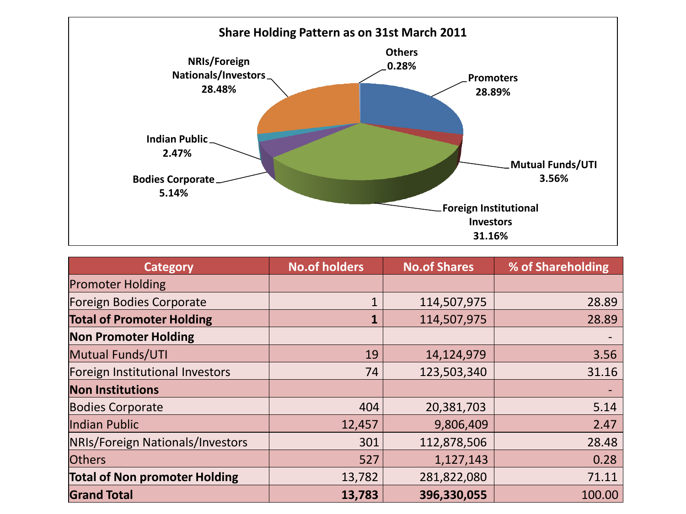

| <b>Category</b>                      | <b>No.of holders</b> | <b>No.of Shares</b> | % of Shareholding |  |
|--------------------------------------|----------------------|---------------------|-------------------|--|
| <b>Promoter Holding</b>              |                      |                     |                   |  |
| Foreign Bodies Corporate             |                      | 114,507,975         | 28.89             |  |
| <b>Total of Promoter Holding</b>     |                      | 114,507,975         | 28.89             |  |
| <b>Non Promoter Holding</b>          |                      |                     |                   |  |
| Mutual Funds/UTI                     | 19                   | 14,124,979          | 3.56              |  |
| Foreign Institutional Investors      | 74                   | 123,503,340         | 31.16             |  |
| <b>Non Institutions</b>              |                      |                     |                   |  |
| <b>Bodies Corporate</b>              | 404                  | 20,381,703          | 5.14              |  |
| Indian Public                        | 12,457               | 9,806,409           | 2.47              |  |
| NRIs/Foreign Nationals/Investors     | 301                  | 112,878,506         | 28.48             |  |
| <b>Others</b>                        | 527                  | 1,127,143           | 0.28              |  |
| <b>Total of Non promoter Holding</b> | 13,782               | 281,822,080         | 71.11             |  |
| <b>Grand Total</b>                   | 13,783               | 396,330,055         | 100.00            |  |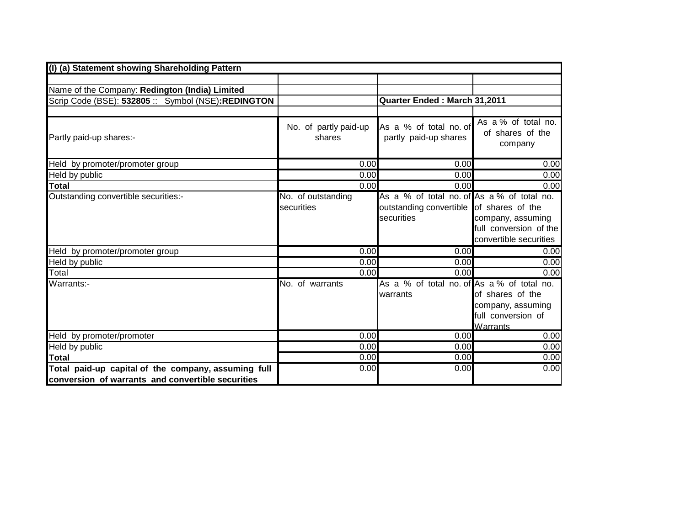| (I) (a) Statement showing Shareholding Pattern                                                           |                                  |                                                                                                      |                                                                         |
|----------------------------------------------------------------------------------------------------------|----------------------------------|------------------------------------------------------------------------------------------------------|-------------------------------------------------------------------------|
|                                                                                                          |                                  |                                                                                                      |                                                                         |
| Name of the Company: Redington (India) Limited                                                           |                                  |                                                                                                      |                                                                         |
| Scrip Code (BSE): 532805 :: Symbol (NSE):REDINGTON                                                       |                                  | Quarter Ended: March 31,2011                                                                         |                                                                         |
|                                                                                                          |                                  |                                                                                                      |                                                                         |
| Partly paid-up shares:-                                                                                  | No. of partly paid-up<br>shares  | As a % of total no. of<br>partly paid-up shares                                                      | As a % of total no.<br>of shares of the<br>company                      |
| Held by promoter/promoter group                                                                          | 0.00                             | 0.00                                                                                                 | 0.00                                                                    |
| Held by public                                                                                           | 0.00                             | 0.00                                                                                                 | 0.00                                                                    |
| <b>Total</b>                                                                                             | 0.00                             | 0.00                                                                                                 | 0.00                                                                    |
| Outstanding convertible securities:-                                                                     | No. of outstanding<br>securities | As a % of total no. of As a % of total no.<br>outstanding convertible of shares of the<br>securities | company, assuming<br>full conversion of the<br>convertible securities   |
| Held by promoter/promoter group                                                                          | 0.00                             | 0.00                                                                                                 | 0.00                                                                    |
| Held by public                                                                                           | 0.00                             | 0.00                                                                                                 | 0.00                                                                    |
| Total                                                                                                    | 0.00                             | 0.00                                                                                                 | 0.00                                                                    |
| Warrants:-                                                                                               | No. of warrants                  | As a % of total no. of As a % of total no.<br>warrants                                               | of shares of the<br>company, assuming<br>full conversion of<br>Warrants |
| Held by promoter/promoter                                                                                | 0.00                             | 0.00                                                                                                 | 0.00                                                                    |
| Held by public                                                                                           | 0.00                             | 0.00                                                                                                 | 0.00                                                                    |
| <b>Total</b>                                                                                             | 0.00                             | 0.00                                                                                                 | 0.00                                                                    |
| Total paid-up capital of the company, assuming full<br>conversion of warrants and convertible securities | 0.00                             | 0.00                                                                                                 | 0.00                                                                    |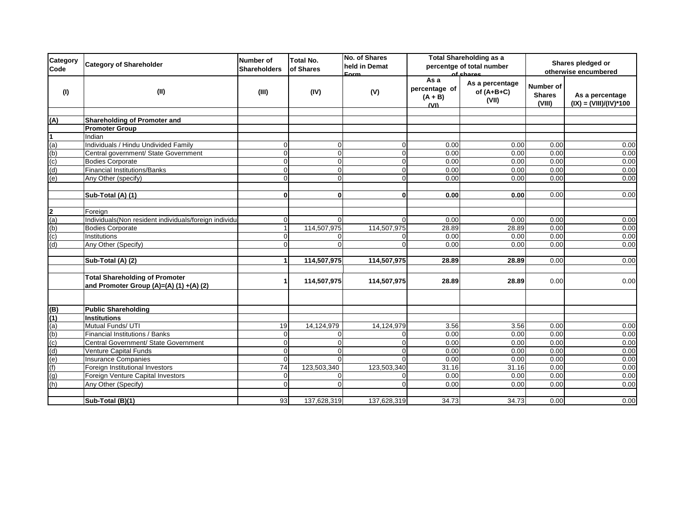| Category<br>Code        | <b>Category of Shareholder</b>                                                    | <b>Number of</b><br><b>Shareholders</b> | <b>Total No.</b><br>of Shares | No. of Shares<br>held in Demat<br>Eorm | <b>Total Shareholding as a</b><br>percentge of total number<br>of shares |                                          | Shares pledged or<br>otherwise encumbered   |                                             |
|-------------------------|-----------------------------------------------------------------------------------|-----------------------------------------|-------------------------------|----------------------------------------|--------------------------------------------------------------------------|------------------------------------------|---------------------------------------------|---------------------------------------------|
| (1)                     | (II)                                                                              | (III)                                   | (IV)                          | (V)                                    | As a<br>percentage of<br>$(A + B)$<br>(VI)                               | As a percentage<br>of $(A+B+C)$<br>(VII) | <b>Number of</b><br><b>Shares</b><br>(VIII) | As a percentage<br>$(IX) = (VIII)/(IV)*100$ |
|                         |                                                                                   |                                         |                               |                                        |                                                                          |                                          |                                             |                                             |
| (A)                     | Shareholding of Promoter and<br><b>Promoter Group</b>                             |                                         |                               |                                        |                                                                          |                                          |                                             |                                             |
|                         | Indian                                                                            |                                         |                               |                                        |                                                                          |                                          |                                             |                                             |
| (a)                     | Individuals / Hindu Undivided Family                                              | $\mathbf{0}$                            | 0                             | $\Omega$                               | 0.00                                                                     | 0.00                                     | 0.00                                        | 0.00                                        |
| (b)                     | Central government/ State Government                                              | $\overline{0}$                          | $\Omega$                      | $\Omega$                               | 0.00                                                                     | 0.00                                     | 0.00                                        | 0.00                                        |
| (c)                     | <b>Bodies Corporate</b>                                                           | $\overline{0}$                          | $\overline{0}$                | $\mathbf 0$                            | 0.00                                                                     | 0.00                                     | 0.00                                        | 0.00                                        |
| (d)                     | <b>Financial Institutions/Banks</b>                                               | $\overline{0}$                          | $\Omega$                      | $\Omega$                               | 0.00                                                                     | 0.00                                     | 0.00                                        | 0.00                                        |
| (e)                     | Any Other (specify)                                                               | $\overline{0}$                          | $\Omega$                      | $\Omega$                               | 0.00                                                                     | 0.00                                     | 0.00                                        | 0.00                                        |
|                         |                                                                                   |                                         |                               |                                        |                                                                          |                                          |                                             |                                             |
|                         | Sub-Total (A) (1)                                                                 | $\mathbf{0}$                            | $\mathbf{0}$                  | 0                                      | 0.00                                                                     | 0.00                                     | 0.00                                        | 0.00                                        |
| $\overline{\mathbf{2}}$ | Foreign                                                                           |                                         |                               |                                        |                                                                          |                                          |                                             |                                             |
| (a)                     | Individuals(Non resident individuals/foreign individuals)                         | $\mathbf{0}$                            | O                             | $\Omega$                               | 0.00                                                                     | 0.00                                     | 0.00                                        | 0.00                                        |
| (b)                     | <b>Bodies Corporate</b>                                                           | $\mathbf{1}$                            | 114,507,975                   | 114,507,975                            | 28.89                                                                    | 28.89                                    | 0.00                                        | 0.00                                        |
| (c)                     | Institutions                                                                      | $\overline{0}$                          |                               |                                        | 0.00                                                                     | 0.00                                     | 0.00                                        | 0.00                                        |
| (d)                     | Any Other (Specify)                                                               | $\Omega$                                | $\Omega$                      | $\Omega$                               | 0.00                                                                     | 0.00                                     | 0.00                                        | 0.00                                        |
|                         | Sub-Total (A) (2)                                                                 | $\mathbf 1$                             | 114,507,975                   | 114,507,975                            | 28.89                                                                    | 28.89                                    | 0.00                                        | 0.00                                        |
|                         | <b>Total Shareholding of Promoter</b><br>and Promoter Group (A)=(A) (1) $+(A)(2)$ | $\mathbf{1}$                            | 114,507,975                   | 114,507,975                            | 28.89                                                                    | 28.89                                    | 0.00                                        | 0.00                                        |
| (B)                     | <b>Public Shareholding</b>                                                        |                                         |                               |                                        |                                                                          |                                          |                                             |                                             |
| (1)                     | <b>Institutions</b>                                                               |                                         |                               |                                        |                                                                          |                                          |                                             |                                             |
| (a)                     | Mutual Funds/ UTI                                                                 | 19                                      | 14,124,979                    | 14,124,979                             | 3.56                                                                     | 3.56                                     | 0.00                                        | 0.00                                        |
| (b)                     | Financial Institutions / Banks                                                    | $\mathbf{0}$                            | U                             | $\Omega$                               | 0.00                                                                     | 0.00                                     | 0.00                                        | 0.00                                        |
| (c)                     | Central Government/ State Government                                              | $\overline{0}$                          | O                             | $\Omega$                               | 0.00                                                                     | 0.00                                     | 0.00                                        | 0.00                                        |
| (d)                     | Venture Capital Funds                                                             | $\overline{0}$                          | 0                             | $\Omega$                               | 0.00                                                                     | 0.00                                     | 0.00                                        | 0.00                                        |
| $\overline{e}$          | Insurance Companies                                                               | $\Omega$                                | $\Omega$                      |                                        | 0.00                                                                     | 0.00                                     | 0.00                                        | 0.00                                        |
| (f)                     | Foreign Institutional Investors                                                   | $\overline{74}$                         | 123,503,340                   | 123,503,340                            | 31.16                                                                    | 31.16                                    | 0.00                                        | 0.00                                        |
| (g)                     | Foreign Venture Capital Investors                                                 | $\overline{0}$                          | O                             | $\Omega$                               | 0.00                                                                     | 0.00                                     | 0.00                                        | 0.00                                        |
| (h)                     | Any Other (Specify)                                                               | $\overline{0}$                          | 0                             | $\Omega$                               | 0.00                                                                     | 0.00                                     | 0.00                                        | 0.00                                        |
|                         | Sub-Total (B)(1)                                                                  | 93                                      | 137,628,319                   | 137,628,319                            | 34.73                                                                    | 34.73                                    | 0.00                                        | 0.00                                        |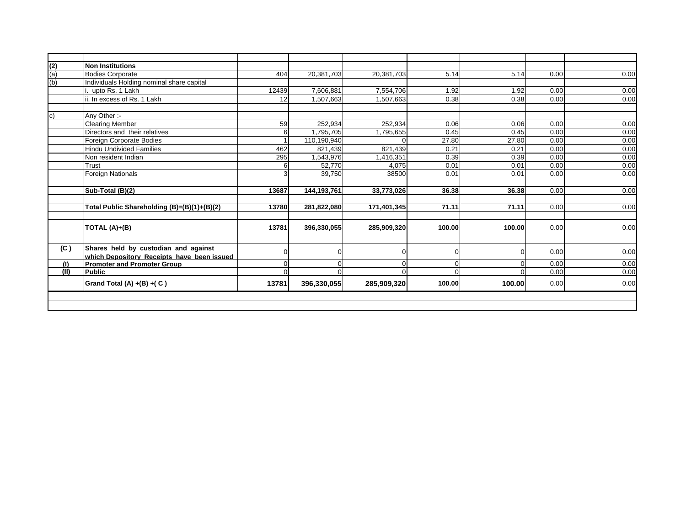|               | <b>Non Institutions</b>                     |             |             |             |          |                |      |      |
|---------------|---------------------------------------------|-------------|-------------|-------------|----------|----------------|------|------|
| $\frac{2}{2}$ | <b>Bodies Corporate</b>                     | 404         | 20,381,703  | 20,381,703  | 5.14     | 5.14           | 0.00 | 0.00 |
| (b)           | Individuals Holding nominal share capital   |             |             |             |          |                |      |      |
|               | upto Rs. 1 Lakh                             | 12439       | 7,606,881   | 7,554,706   | 1.92     | 1.92           | 0.00 | 0.00 |
|               | ii. In excess of Rs. 1 Lakh                 | 12          | 1,507,663   | 1,507,663   | 0.38     | 0.38           | 0.00 | 0.00 |
| $\mathbf{c}$  | Any Other:-                                 |             |             |             |          |                |      |      |
|               | <b>Clearing Member</b>                      | 59          | 252.934     | 252.934     | 0.06     | 0.06           | 0.00 | 0.00 |
|               | Directors and their relatives               | 6           | 1,795,705   | 1,795,655   | 0.45     | 0.45           | 0.00 | 0.00 |
|               | Foreign Corporate Bodies                    |             | 110,190,940 | $\Omega$    | 27.80    | 27.80          | 0.00 | 0.00 |
|               | <b>Hindu Undivided Families</b>             | 462         | 821,439     | 821,439     | 0.21     | 0.21           | 0.00 | 0.00 |
|               | Non resident Indian                         | 295         | 1,543,976   | 1,416,351   | 0.39     | 0.39           | 0.00 | 0.00 |
|               | Trust                                       | 6           | 52,770      | 4,075       | 0.01     | 0.01           | 0.00 | 0.00 |
|               | <b>Foreign Nationals</b>                    | 3           | 39,750      | 38500       | 0.01     | 0.01           | 0.00 | 0.00 |
|               |                                             |             |             |             |          |                |      |      |
|               | Sub-Total (B)(2)                            | 13687       | 144,193,761 | 33,773,026  | 36.38    | 36.38          | 0.00 | 0.00 |
|               |                                             |             |             |             |          |                |      |      |
|               | Total Public Shareholding (B)=(B)(1)+(B)(2) | 13780       | 281,822,080 | 171,401,345 | 71.11    | 71.11          | 0.00 | 0.00 |
|               |                                             |             |             |             |          |                |      |      |
|               | TOTAL (A)+(B)                               | 13781       | 396,330,055 | 285,909,320 | 100.00   | 100.00         | 0.00 | 0.00 |
|               |                                             |             |             |             |          |                |      |      |
| (C)           | Shares held by custodian and against        | $\Omega$    |             |             | $\Omega$ | $\Omega$       | 0.00 | 0.00 |
|               | which Depository Receipts have been issued  |             |             |             |          |                |      |      |
| (1)           | <b>Promoter and Promoter Group</b>          | $\mathbf 0$ | ŋ           | 0           | ∩        | $\overline{0}$ | 0.00 | 0.00 |
| (II)          | <b>Public</b>                               | $\Omega$    | ∩           | $\Omega$    | $\Omega$ | $\Omega$       | 0.00 | 0.00 |
|               | Grand Total (A) $+(B) + (C)$                | 13781       | 396,330,055 | 285,909,320 | 100.00   | 100.00         | 0.00 | 0.00 |
|               |                                             |             |             |             |          |                |      |      |
|               |                                             |             |             |             |          |                |      |      |
|               |                                             |             |             |             |          |                |      |      |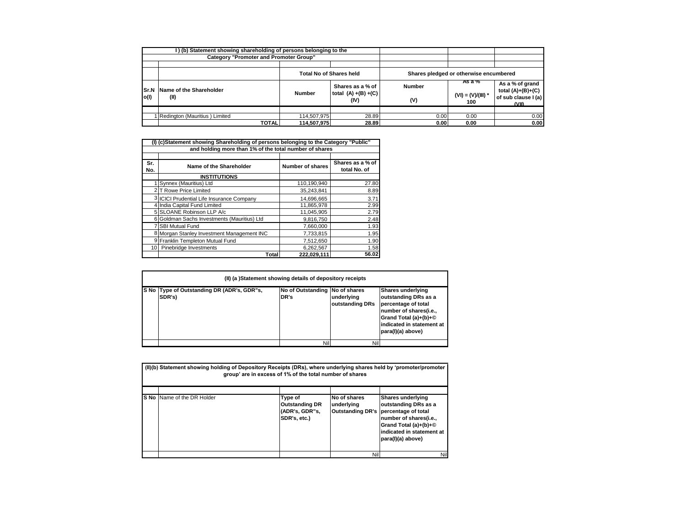|      | I) (b) Statement showing shareholding of persons belonging to the<br><b>Category "Promoter and Promoter Group"</b> |                                |                                                     |                                        |                                       |                                                                     |
|------|--------------------------------------------------------------------------------------------------------------------|--------------------------------|-----------------------------------------------------|----------------------------------------|---------------------------------------|---------------------------------------------------------------------|
|      |                                                                                                                    | <b>Total No of Shares held</b> |                                                     | Shares pledged or otherwise encumbered |                                       |                                                                     |
| o(1) | <b>Sr.N</b> Name of the Shareholder<br>(II)                                                                        | <b>Number</b>                  | Shares as a % of<br>total $(A) + (B) + (C)$<br>(IV) | <b>Number</b><br>(V)                   | AS a %<br>$(VI) = (V)/(III) *$<br>100 | As a % of grand<br>total (A)+(B)+(C)<br>of sub clause I (a)<br>WIN. |
|      | I Redington (Mauritius) Limited<br><b>TOTAL</b>                                                                    | 114.507.975<br>114.507.975     | 28.89<br>28.89                                      | 0.00<br>0.00                           | 0.00<br>0.00                          | 0.00<br>0.00                                                        |

| (I) (c)Statement showing Shareholding of persons belonging to the Category "Public" |                                            |                  |                  |  |  |  |  |  |  |  |
|-------------------------------------------------------------------------------------|--------------------------------------------|------------------|------------------|--|--|--|--|--|--|--|
| and holding more than 1% of the total number of shares                              |                                            |                  |                  |  |  |  |  |  |  |  |
|                                                                                     |                                            |                  |                  |  |  |  |  |  |  |  |
| Sr.                                                                                 | Name of the Shareholder                    | Number of shares | Shares as a % of |  |  |  |  |  |  |  |
| No.                                                                                 |                                            |                  | total No. of     |  |  |  |  |  |  |  |
|                                                                                     | <b>INSTITUTIONS</b>                        |                  |                  |  |  |  |  |  |  |  |
|                                                                                     | Synnex (Mauritius) Ltd                     | 110.190.940      | 27.80            |  |  |  |  |  |  |  |
|                                                                                     | 2 <sup>1</sup> T Rowe Price Limited        | 35,243,841       | 8.89             |  |  |  |  |  |  |  |
|                                                                                     | 3 ICICI Prudential Life Insurance Company  | 14.696.665       | 3.71             |  |  |  |  |  |  |  |
|                                                                                     | 4 India Capital Fund Limited               | 11.865.978       | 2.99             |  |  |  |  |  |  |  |
|                                                                                     | 5 SLOANE Robinson LLP A/c                  | 11.045.905       | 2.79             |  |  |  |  |  |  |  |
|                                                                                     | Goldman Sachs Investments (Mauritius) Ltd  | 9,816,750        | 2.48             |  |  |  |  |  |  |  |
|                                                                                     | 7 SBI Mutual Fund                          | 7.660.000        | 1.93             |  |  |  |  |  |  |  |
|                                                                                     | 8 Morgan Stanley Investment Management INC | 7.733.815        | 1.95             |  |  |  |  |  |  |  |
|                                                                                     | 9 Franklin Templeton Mutual Fund           | 7,512,650        | 1.90             |  |  |  |  |  |  |  |
|                                                                                     | 10 Pinebridge Investments                  | 6,262,567        | 1.58             |  |  |  |  |  |  |  |
|                                                                                     | Total                                      | 222,029,111      | 56.02            |  |  |  |  |  |  |  |

| (II) (a) Statement showing details of depository receipts |                                        |                               |                                                                                                                                                                              |  |  |  |  |  |
|-----------------------------------------------------------|----------------------------------------|-------------------------------|------------------------------------------------------------------------------------------------------------------------------------------------------------------------------|--|--|--|--|--|
| S No Type of Outstanding DR (ADR's, GDR"s,<br>SDR's)      | No of Outstanding No of shares<br>DR's | underlying<br>outstanding DRs | <b>Shares underlying</b><br>outstanding DRs as a<br>percentage of total<br>number of shares(i.e.,<br>Grand Total (a)+(b)+©<br>indicated in statement at<br>para(I)(a) above) |  |  |  |  |  |
|                                                           | Nil                                    | Nil                           |                                                                                                                                                                              |  |  |  |  |  |

| (II)(b) Statement showing holding of Depository Receipts (DRs), where underlying shares held by 'promoter/promoter<br>group' are in excess of 1% of the total number of shares |                                                                    |                            |                                                                                                                                                                                               |  |  |  |
|--------------------------------------------------------------------------------------------------------------------------------------------------------------------------------|--------------------------------------------------------------------|----------------------------|-----------------------------------------------------------------------------------------------------------------------------------------------------------------------------------------------|--|--|--|
| S No Name of the DR Holder                                                                                                                                                     | Type of<br><b>Outstanding DR</b><br>(ADR's, GDR"s,<br>SDR's, etc.) | No of shares<br>underlvina | <b>Shares underlying</b><br>outstanding DRs as a<br>Outstanding DR's percentage of total<br>number of shares(i.e.,<br>Grand Total (a)+(b)+©<br>indicated in statement at<br>para(I)(a) above) |  |  |  |
|                                                                                                                                                                                |                                                                    | Nil                        | Nil                                                                                                                                                                                           |  |  |  |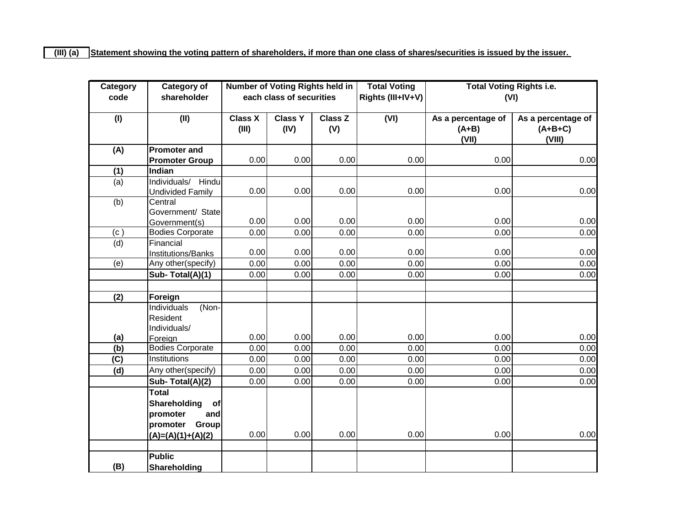| Category       | <b>Category of</b>           |                | Number of Voting Rights held in |                | <b>Total Voting</b> | <b>Total Voting Rights i.e.</b> |                    |
|----------------|------------------------------|----------------|---------------------------------|----------------|---------------------|---------------------------------|--------------------|
| code           | shareholder                  |                | each class of securities        |                | Rights (III+IV+V)   | (VI)                            |                    |
|                |                              |                |                                 |                |                     |                                 |                    |
| (1)            | (II)                         | <b>Class X</b> | <b>Class Y</b>                  | <b>Class Z</b> | (VI)                | As a percentage of              | As a percentage of |
|                |                              | (III)          | (IV)                            | (V)            |                     | $(A+B)$                         | $(A+B+C)$          |
|                |                              |                |                                 |                |                     | (VII)                           | (VIII)             |
| (A)            | <b>Promoter and</b>          |                |                                 | 0.00           |                     |                                 |                    |
|                | <b>Promoter Group</b>        | 0.00           | 0.00                            |                | 0.00                | 0.00                            | 0.00               |
| (1)            | Indian                       |                |                                 |                |                     |                                 |                    |
| $\overline{a}$ | Individuals/ Hindu           | 0.00           | 0.00                            | 0.00           | 0.00                | 0.00                            | 0.00               |
|                | <b>Undivided Family</b>      |                |                                 |                |                     |                                 |                    |
| (b)            | Central<br>Government/ State |                |                                 |                |                     |                                 |                    |
|                | Government(s)                | 0.00           | 0.00                            | 0.00           | 0.00                | 0.00                            | 0.00               |
| (c)            | <b>Bodies Corporate</b>      | 0.00           | 0.00                            | 0.00           | 0.00                | 0.00                            | 0.00               |
| (d)            | Financial                    |                |                                 |                |                     |                                 |                    |
|                | Institutions/Banks           | 0.00           | 0.00                            | 0.00           | 0.00                | 0.00                            | 0.00               |
| (e)            | Any other(specify)           | 0.00           | 0.00                            | 0.00           | 0.00                | 0.00                            | 0.00               |
|                | Sub-Total(A)(1)              | 0.00           | 0.00                            | 0.00           | 0.00                | 0.00                            | 0.00               |
|                |                              |                |                                 |                |                     |                                 |                    |
| (2)            | Foreign                      |                |                                 |                |                     |                                 |                    |
|                | <b>Individuals</b><br>(Non-  |                |                                 |                |                     |                                 |                    |
|                | Resident                     |                |                                 |                |                     |                                 |                    |
|                | Individuals/                 |                |                                 |                |                     |                                 |                    |
| (a)            | Foreign                      | 0.00           | 0.00                            | 0.00           | 0.00                | 0.00                            | 0.00               |
| (b)            | <b>Bodies Corporate</b>      | 0.00           | 0.00                            | 0.00           | 0.00                | 0.00                            | 0.00               |
| (C)            | Institutions                 | 0.00           | 0.00                            | 0.00           | 0.00                | 0.00                            | 0.00               |
| (d)            | Any other(specify)           | 0.00           | 0.00                            | 0.00           | 0.00                | 0.00                            | 0.00               |
|                | Sub-Total(A)(2)              | 0.00           | 0.00                            | 0.00           | 0.00                | 0.00                            | 0.00               |
|                | <b>Total</b>                 |                |                                 |                |                     |                                 |                    |
|                | Shareholding<br>of           |                |                                 |                |                     |                                 |                    |
|                | promoter<br>and              |                |                                 |                |                     |                                 |                    |
|                | promoter Group               |                |                                 |                |                     |                                 |                    |
|                | $(A)=(A)(1)+(A)(2)$          | 0.00           | 0.00                            | 0.00           | 0.00                | 0.00                            | 0.00               |
|                |                              |                |                                 |                |                     |                                 |                    |
|                | <b>Public</b>                |                |                                 |                |                     |                                 |                    |
| (B)            | Shareholding                 |                |                                 |                |                     |                                 |                    |